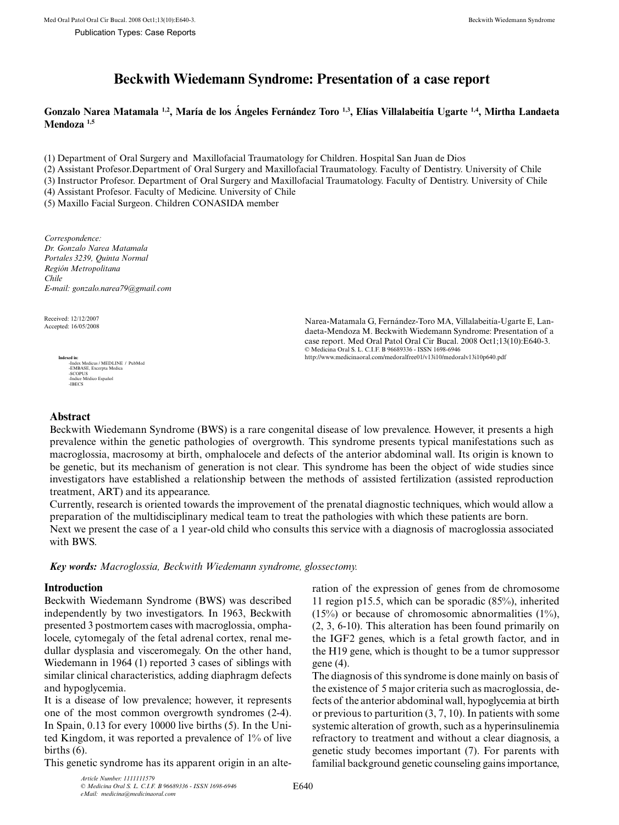# **Beckwith Wiedemann Syndrome: Presentation of a case report**

**Gonzalo Narea Matamala 1,2, María de los Ángeles Fernández Toro 1,3, Elías Villalabeitía Ugarte 1,4, Mirtha Landaeta Mendoza 1,5**

(1) Department of Oral Surgery and Maxillofacial Traumatology for Children. Hospital San Juan de Dios

(2) Assistant Profesor.Department of Oral Surgery and Maxillofacial Traumatology. Faculty of Dentistry. University of Chile

(3) Instructor Profesor. Department of Oral Surgery and Maxillofacial Traumatology. Faculty of Dentistry. University of Chile

(4) Assistant Profesor. Faculty of Medicine. University of Chile

(5) Maxillo Facial Surgeon. Children CONASIDA member

*Correspondence: Dr. Gonzalo Narea Matamala Portales 3239, Quinta Normal Región Metropolitana Chile E-mail: gonzalo.narea79@gmail.com*

Received: 12/12/2007<br>Accepted: 16/05/2008

**Indexed in:**<br>
-Index Medicus / MEDLINE / PubMed<br>
-EMBASE, Excerpta Medica<br>
-SCOPUS<br>
-Indice Médico Español<br>
-IBECS

Narea-Matamala G, Fernández-Toro MA, Villalabeitía-Ugarte E, Landaeta-Mendoza M. Beckwith Wiedemann Syndrome: Presentation of a case report. Med Oral Patol Oral Cir Bucal. 2008 Oct1;13(10):E640-3. © Medicina Oral S. L. C.I.F. B 96689336 - ISSN 1698-6946 http://www.medicinaoral.com/medoralfree01/v13i10/medoralv13i10p640.pdf

# **Abstract**

Beckwith Wiedemann Syndrome (BWS) is a rare congenital disease of low prevalence. However, it presents a high prevalence within the genetic pathologies of overgrowth. This syndrome presents typical manifestations such as macroglossia, macrosomy at birth, omphalocele and defects of the anterior abdominal wall. Its origin is known to be genetic, but its mechanism of generation is not clear. This syndrome has been the object of wide studies since investigators have established a relationship between the methods of assisted fertilization (assisted reproduction treatment, ART) and its appearance.

Currently, research is oriented towards the improvement of the prenatal diagnostic techniques, which would allow a preparation of the multidisciplinary medical team to treat the pathologies with which these patients are born.

Next we present the case of a 1 year-old child who consults this service with a diagnosis of macroglossia associated with BWS.

*Key words: Macroglossia, Beckwith Wiedemann syndrome, glossectomy.*

## **Introduction**

Beckwith Wiedemann Syndrome (BWS) was described independently by two investigators. In 1963, Beckwith presented 3 postmortem cases with macroglossia, omphalocele, cytomegaly of the fetal adrenal cortex, renal medullar dysplasia and visceromegaly. On the other hand, Wiedemann in 1964 (1) reported 3 cases of siblings with similar clinical characteristics, adding diaphragm defects and hypoglycemia.

It is a disease of low prevalence; however, it represents one of the most common overgrowth syndromes (2-4). In Spain, 0.13 for every 10000 live births (5). In the United Kingdom, it was reported a prevalence of 1% of live births (6).

This genetic syndrome has its apparent origin in an alte-

ration of the expression of genes from de chromosome 11 region p15.5, which can be sporadic (85%), inherited  $(15%)$  or because of chromosomic abnormalities  $(1%)$ , (2, 3, 6-10). This alteration has been found primarily on the IGF2 genes, which is a fetal growth factor, and in the H19 gene, which is thought to be a tumor suppressor gene (4).

The diagnosis of this syndrome is done mainly on basis of the existence of 5 major criteria such as macroglossia, defects of the anterior abdominal wall, hypoglycemia at birth or previous to parturition (3, 7, 10). In patients with some systemic alteration of growth, such as a hyperinsulinemia refractory to treatment and without a clear diagnosis, a genetic study becomes important (7). For parents with familial background genetic counseling gains importance,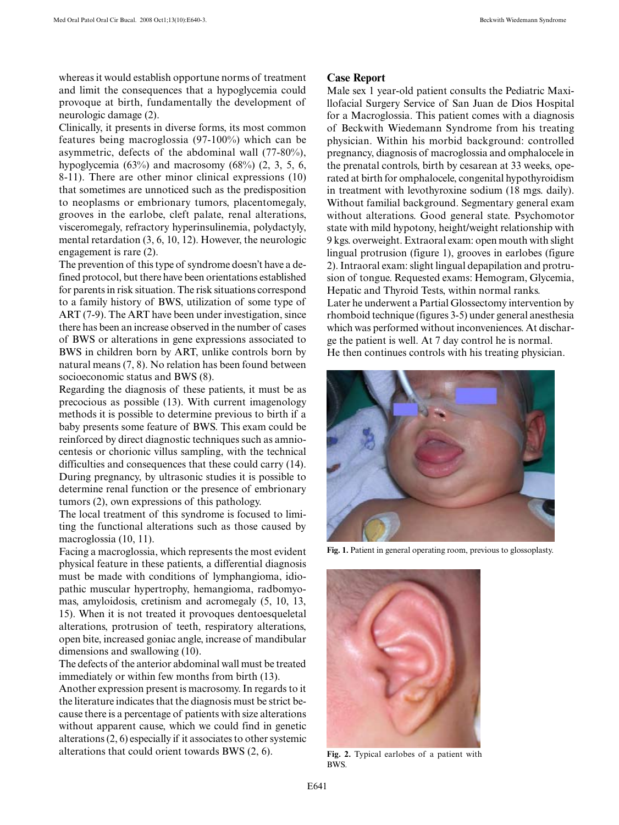whereas it would establish opportune norms of treatment and limit the consequences that a hypoglycemia could provoque at birth, fundamentally the development of neurologic damage (2).

Clinically, it presents in diverse forms, its most common features being macroglossia (97-100%) which can be asymmetric, defects of the abdominal wall (77-80%), hypoglycemia  $(63\%)$  and macrosomy  $(68\%)$   $(2, 3, 5, 6, 6)$ 8-11). There are other minor clinical expressions (10) that sometimes are unnoticed such as the predisposition to neoplasms or embrionary tumors, placentomegaly, grooves in the earlobe, cleft palate, renal alterations, visceromegaly, refractory hyperinsulinemia, polydactyly, mental retardation (3, 6, 10, 12). However, the neurologic engagement is rare (2).

The prevention of this type of syndrome doesn't have a defined protocol, but there have been orientations established for parents in risk situation. The risk situations correspond to a family history of BWS, utilization of some type of ART (7-9). The ART have been under investigation, since there has been an increase observed in the number of cases of BWS or alterations in gene expressions associated to BWS in children born by ART, unlike controls born by natural means (7, 8). No relation has been found between socioeconomic status and BWS (8).

Regarding the diagnosis of these patients, it must be as precocious as possible (13). With current imagenology methods it is possible to determine previous to birth if a baby presents some feature of BWS. This exam could be reinforced by direct diagnostic techniques such as amniocentesis or chorionic villus sampling, with the technical difficulties and consequences that these could carry (14). During pregnancy, by ultrasonic studies it is possible to determine renal function or the presence of embrionary tumors (2), own expressions of this pathology.

The local treatment of this syndrome is focused to limiting the functional alterations such as those caused by macroglossia (10, 11).

Facing a macroglossia, which represents the most evident physical feature in these patients, a differential diagnosis must be made with conditions of lymphangioma, idiopathic muscular hypertrophy, hemangioma, radbomyomas, amyloidosis, cretinism and acromegaly (5, 10, 13, 15). When it is not treated it provoques dentoesqueletal alterations, protrusion of teeth, respiratory alterations, open bite, increased goniac angle, increase of mandibular dimensions and swallowing (10).

The defects of the anterior abdominal wall must be treated immediately or within few months from birth (13).

Another expression present is macrosomy. In regards to it the literature indicates that the diagnosis must be strict because there is a percentage of patients with size alterations without apparent cause, which we could find in genetic alterations (2, 6) especially if it associates to other systemic alterations that could orient towards BWS (2, 6).

#### **Case Report**

Male sex 1 year-old patient consults the Pediatric Maxillofacial Surgery Service of San Juan de Dios Hospital for a Macroglossia. This patient comes with a diagnosis of Beckwith Wiedemann Syndrome from his treating physician. Within his morbid background: controlled pregnancy, diagnosis of macroglossia and omphalocele in the prenatal controls, birth by cesarean at 33 weeks, operated at birth for omphalocele, congenital hypothyroidism in treatment with levothyroxine sodium (18 mgs. daily). Without familial background. Segmentary general exam without alterations. Good general state. Psychomotor state with mild hypotony, height/weight relationship with 9 kgs. overweight. Extraoral exam: open mouth with slight lingual protrusion (figure 1), grooves in earlobes (figure 2). Intraoral exam: slight lingual depapilation and protrusion of tongue. Requested exams: Hemogram, Glycemia, Hepatic and Thyroid Tests, within normal ranks. Later he underwent a Partial Glossectomy intervention by rhomboid technique (figures 3-5) under general anesthesia which was performed without inconveniences. At discharge the patient is well. At 7 day control he is normal. He then continues controls with his treating physician.



**Fig. 1.** Patient in general operating room, previous to glossoplasty.



**Fig. 2.** Typical earlobes of a patient with **BWS**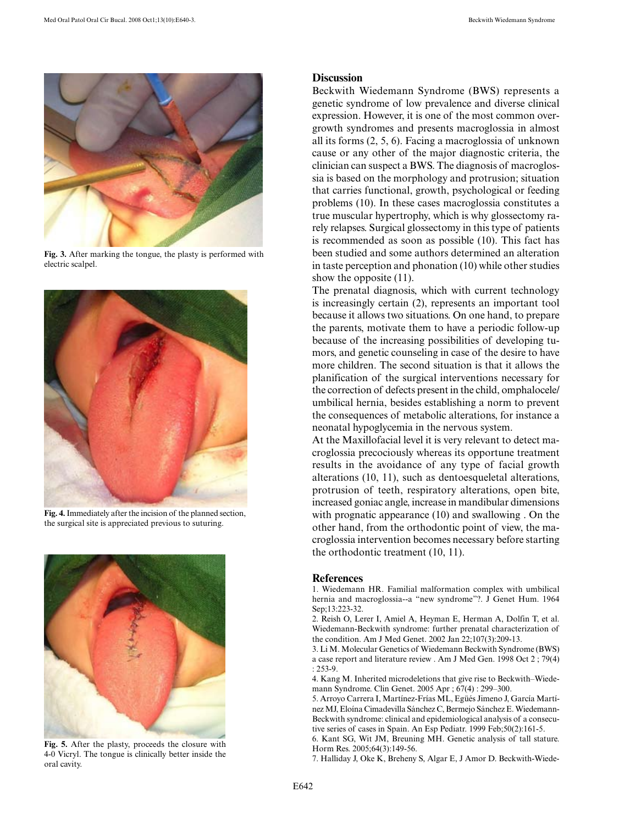

**Fig. 3.** After marking the tongue, the plasty is performed with electric scalpel.



**Fig. 4.** Immediately after the incision of the planned section, the surgical site is appreciated previous to suturing.



**Fig. 5.** After the plasty, proceeds the closure with 4-0 Vicryl. The tongue is clinically better inside the oral cavity.

# **Discussion**

Beckwith Wiedemann Syndrome (BWS) represents a genetic syndrome of low prevalence and diverse clinical expression. However, it is one of the most common overgrowth syndromes and presents macroglossia in almost all its forms (2, 5, 6). Facing a macroglossia of unknown cause or any other of the major diagnostic criteria, the clinician can suspect a BWS. The diagnosis of macroglossia is based on the morphology and protrusion; situation that carries functional, growth, psychological or feeding problems (10). In these cases macroglossia constitutes a true muscular hypertrophy, which is why glossectomy rarely relapses. Surgical glossectomy in this type of patients is recommended as soon as possible (10). This fact has been studied and some authors determined an alteration in taste perception and phonation (10) while other studies show the opposite (11).

The prenatal diagnosis, which with current technology is increasingly certain (2), represents an important tool because it allows two situations. On one hand, to prepare the parents, motivate them to have a periodic follow-up because of the increasing possibilities of developing tumors, and genetic counseling in case of the desire to have more children. The second situation is that it allows the planification of the surgical interventions necessary for the correction of defects present in the child, omphalocele/ umbilical hernia, besides establishing a norm to prevent the consequences of metabolic alterations, for instance a neonatal hypoglycemia in the nervous system.

At the Maxillofacial level it is very relevant to detect macroglossia precociously whereas its opportune treatment results in the avoidance of any type of facial growth alterations (10, 11), such as dentoesqueletal alterations, protrusion of teeth, respiratory alterations, open bite, increased goniac angle, increase in mandibular dimensions with prognatic appearance (10) and swallowing . On the other hand, from the orthodontic point of view, the macroglossia intervention becomes necessary before starting the orthodontic treatment (10, 11).

## **References**

1. Wiedemann HR. Familial malformation complex with umbilical hernia and macroglossia--a "new syndrome"?. J Genet Hum. 1964 Sep;13:223-32.

2. Reish O, Lerer I, Amiel A, Heyman E, Herman A, Dolfin T, et al. Wiedemann-Beckwith syndrome: further prenatal characterization of the condition. Am J Med Genet. 2002 Jan 22;107(3):209-13.

3. Li M. Molecular Genetics of Wiedemann Beckwith Syndrome (BWS) a case report and literature review . Am J Med Gen. 1998 Oct 2 ; 79(4) : 253-9.

4. Kang M. Inherited microdeletions that give rise to Beckwith–Wiedemann Syndrome. Clin Genet. 2005 Apr ; 67(4) : 299–300.

5. Arroyo Carrera I, Martínez-Frías ML, Egüés Jimeno J, García Martínez MJ, Eloína Cimadevilla Sánchez C, Bermejo Sánchez E. Wiedemann-Beckwith syndrome: clinical and epidemiological analysis of a consecutive series of cases in Spain. An Esp Pediatr. 1999 Feb;50(2):161-5.

6. Kant SG, Wit JM, Breuning MH. Genetic analysis of tall stature. Horm Res. 2005;64(3):149-56.

7. Halliday J, Oke K, Breheny S, Algar E, J Amor D. Beckwith-Wiede-